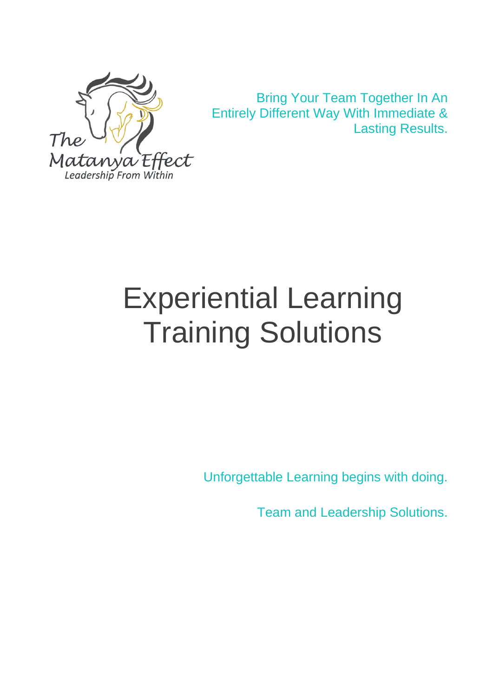

 Bring Your Team Together In An Entirely Different Way With Immediate & Lasting Results.

# Experiential Learning Training Solutions

Unforgettable Learning begins with doing.

Team and Leadership Solutions.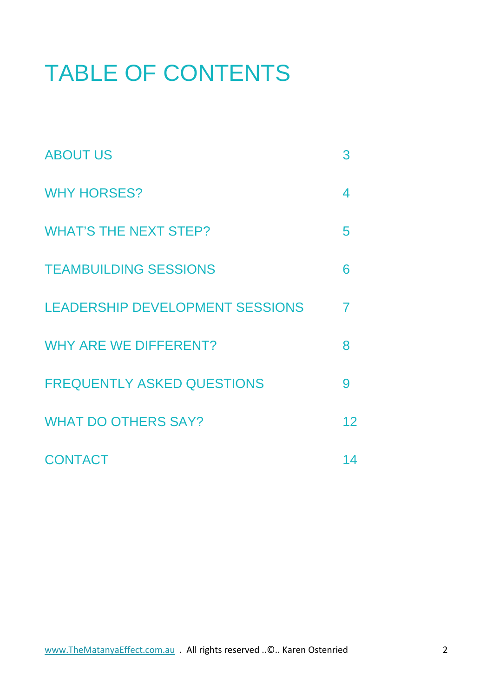## TABLE OF CONTENTS

| <b>ABOUT US</b>                   | 3              |
|-----------------------------------|----------------|
| <b>WHY HORSES?</b>                | 4              |
| <b>WHAT'S THE NEXT STEP?</b>      | 5              |
| <b>TEAMBUILDING SESSIONS</b>      | 6              |
| LEADERSHIP DEVELOPMENT SESSIONS   | $\overline{7}$ |
| <b>WHY ARE WE DIFFERENT?</b>      | 8              |
| <b>FREQUENTLY ASKED QUESTIONS</b> | 9              |
| <b>WHAT DO OTHERS SAY?</b>        | 12             |
| <b>CONTACT</b>                    | 14             |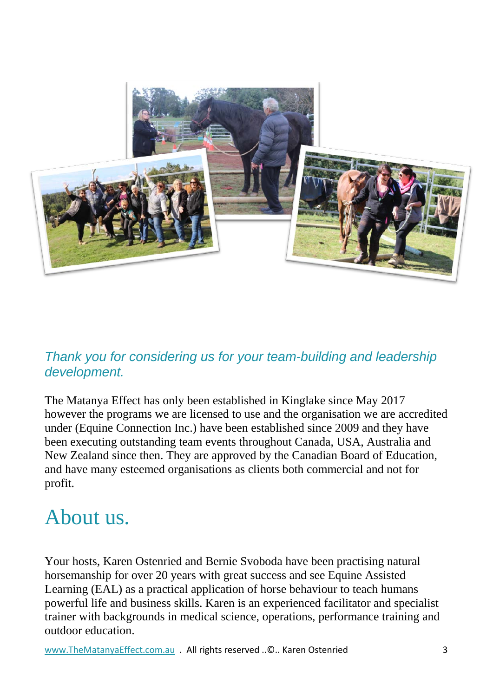

### *Thank you for considering us for your team-building and leadership development.*

The Matanya Effect has only been established in Kinglake since May 2017 however the programs we are licensed to use and the organisation we are accredited under (Equine Connection Inc.) have been established since 2009 and they have been executing outstanding team events throughout Canada, USA, Australia and New Zealand since then. They are approved by the Canadian Board of Education, and have many esteemed organisations as clients both commercial and not for profit.

## About us.

Your hosts, Karen Ostenried and Bernie Svoboda have been practising natural horsemanship for over 20 years with great success and see Equine Assisted Learning (EAL) as a practical application of horse behaviour to teach humans powerful life and business skills. Karen is an experienced facilitator and specialist trainer with backgrounds in medical science, operations, performance training and outdoor education.

[www.TheMatanyaEffect.com.au](http://www.thematanyaeffect.com.au/) . All rights reserved .. ©.. Karen Ostenried 3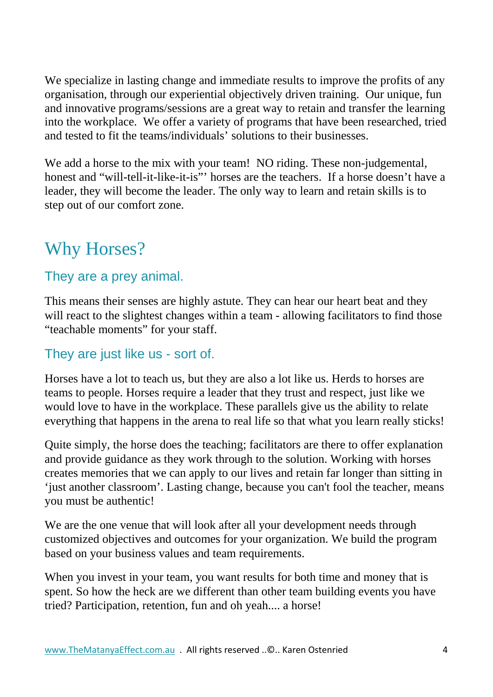We specialize in lasting change and immediate results to improve the profits of any organisation, through our experiential objectively driven training. Our unique, fun and innovative programs/sessions are a great way to retain and transfer the learning into the workplace. We offer a variety of programs that have been researched, tried and tested to fit the teams/individuals' solutions to their businesses.

We add a horse to the mix with your team! NO riding. These non-judgemental, honest and "will-tell-it-like-it-is"' horses are the teachers. If a horse doesn't have a leader, they will become the leader. The only way to learn and retain skills is to step out of our comfort zone.

## Why Horses?

#### They are a prey animal.

This means their senses are highly astute. They can hear our heart beat and they will react to the slightest changes within a team - allowing facilitators to find those "teachable moments" for your staff.

### They are just like us - sort of.

Horses have a lot to teach us, but they are also a lot like us. Herds to horses are teams to people. Horses require a leader that they trust and respect, just like we would love to have in the workplace. These parallels give us the ability to relate everything that happens in the arena to real life so that what you learn really sticks!

Quite simply, the horse does the teaching; facilitators are there to offer explanation and provide guidance as they work through to the solution. Working with horses creates memories that we can apply to our lives and retain far longer than sitting in 'just another classroom'. Lasting change, because you can't fool the teacher, means you must be authentic!

We are the one venue that will look after all your development needs through customized objectives and outcomes for your organization. We build the program based on your business values and team requirements.

When you invest in your team, you want results for both time and money that is spent. So how the heck are we different than other team building events you have tried? Participation, retention, fun and oh yeah.... a horse!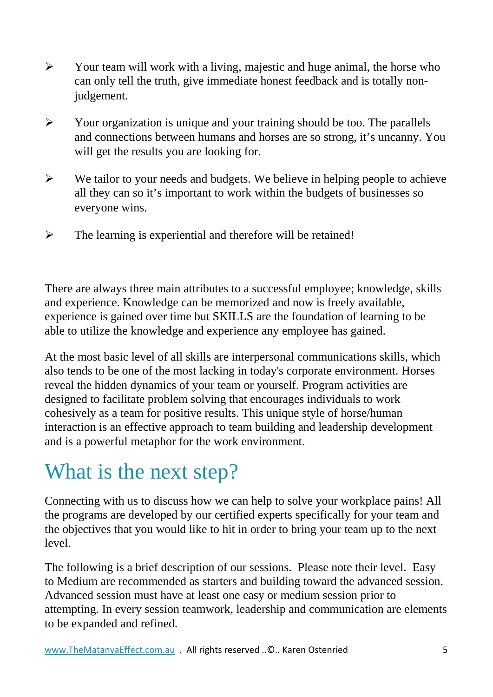- $\triangleright$  Your team will work with a living, majestic and huge animal, the horse who can only tell the truth, give immediate honest feedback and is totally nonjudgement.
- $\triangleright$  Your organization is unique and your training should be too. The parallels and connections between humans and horses are so strong, it's uncanny. You will get the results you are looking for.
- $\triangleright$  We tailor to your needs and budgets. We believe in helping people to achieve all they can so it's important to work within the budgets of businesses so everyone wins.
- $\triangleright$  The learning is experiential and therefore will be retained!

There are always three main attributes to a successful employee; knowledge, skills and experience. Knowledge can be memorized and now is freely available, experience is gained over time but SKILLS are the foundation of learning to be able to utilize the knowledge and experience any employee has gained.

At the most basic level of all skills are interpersonal communications skills, which also tends to be one of the most lacking in today's corporate environment. Horses reveal the hidden dynamics of your team or yourself. Program activities are designed to facilitate problem solving that encourages individuals to work cohesively as a team for positive results. This unique style of horse/human interaction is an effective approach to team building and leadership development and is a powerful metaphor for the work environment.

## What is the next step?

Connecting with us to discuss how we can help to solve your workplace pains! All the programs are developed by our certified experts specifically for your team and the objectives that you would like to hit in order to bring your team up to the next level.

The following is a brief description of our sessions. Please note their level. Easy to Medium are recommended as starters and building toward the advanced session. Advanced session must have at least one easy or medium session prior to attempting. In every session teamwork, leadership and communication are elements to be expanded and refined.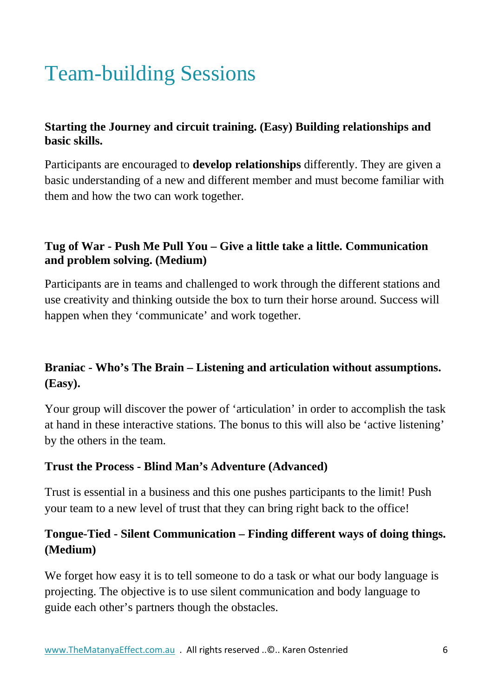## Team-building Sessions

#### **Starting the Journey and circuit training. (Easy) Building relationships and basic skills.**

Participants are encouraged to **develop relationships** differently. They are given a basic understanding of a new and different member and must become familiar with them and how the two can work together.

#### **Tug of War - Push Me Pull You – Give a little take a little. Communication and problem solving. (Medium)**

Participants are in teams and challenged to work through the different stations and use creativity and thinking outside the box to turn their horse around. Success will happen when they 'communicate' and work together.

### **Braniac - Who's The Brain – Listening and articulation without assumptions. (Easy).**

Your group will discover the power of 'articulation' in order to accomplish the task at hand in these interactive stations. The bonus to this will also be 'active listening' by the others in the team.

#### **Trust the Process - Blind Man's Adventure (Advanced)**

Trust is essential in a business and this one pushes participants to the limit! Push your team to a new level of trust that they can bring right back to the office!

#### **Tongue-Tied - Silent Communication – Finding different ways of doing things. (Medium)**

We forget how easy it is to tell someone to do a task or what our body language is projecting. The objective is to use silent communication and body language to guide each other's partners though the obstacles.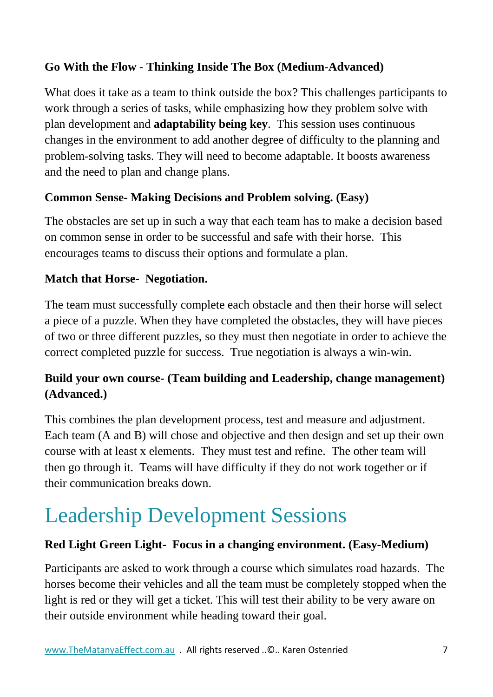#### **Go With the Flow - Thinking Inside The Box (Medium-Advanced)**

What does it take as a team to think outside the box? This challenges participants to work through a series of tasks, while emphasizing how they problem solve with plan development and **adaptability being key**. This session uses continuous changes in the environment to add another degree of difficulty to the planning and problem-solving tasks. They will need to become adaptable. It boosts awareness and the need to plan and change plans.

#### **Common Sense- Making Decisions and Problem solving. (Easy)**

The obstacles are set up in such a way that each team has to make a decision based on common sense in order to be successful and safe with their horse. This encourages teams to discuss their options and formulate a plan.

#### **Match that Horse- Negotiation.**

The team must successfully complete each obstacle and then their horse will select a piece of a puzzle. When they have completed the obstacles, they will have pieces of two or three different puzzles, so they must then negotiate in order to achieve the correct completed puzzle for success. True negotiation is always a win-win.

#### **Build your own course- (Team building and Leadership, change management) (Advanced.)**

This combines the plan development process, test and measure and adjustment. Each team (A and B) will chose and objective and then design and set up their own course with at least x elements. They must test and refine. The other team will then go through it. Teams will have difficulty if they do not work together or if their communication breaks down.

## Leadership Development Sessions

#### **Red Light Green Light- Focus in a changing environment. (Easy-Medium)**

Participants are asked to work through a course which simulates road hazards. The horses become their vehicles and all the team must be completely stopped when the light is red or they will get a ticket. This will test their ability to be very aware on their outside environment while heading toward their goal.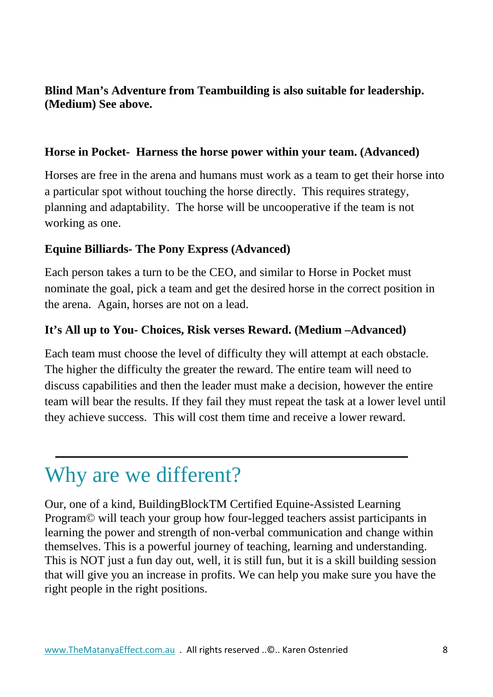#### **Blind Man's Adventure from Teambuilding is also suitable for leadership. (Medium) See above.**

#### **Horse in Pocket- Harness the horse power within your team. (Advanced)**

Horses are free in the arena and humans must work as a team to get their horse into a particular spot without touching the horse directly. This requires strategy, planning and adaptability. The horse will be uncooperative if the team is not working as one.

#### **Equine Billiards- The Pony Express (Advanced)**

Each person takes a turn to be the CEO, and similar to Horse in Pocket must nominate the goal, pick a team and get the desired horse in the correct position in the arena. Again, horses are not on a lead.

#### **It's All up to You- Choices, Risk verses Reward. (Medium –Advanced)**

Each team must choose the level of difficulty they will attempt at each obstacle. The higher the difficulty the greater the reward. The entire team will need to discuss capabilities and then the leader must make a decision, however the entire team will bear the results. If they fail they must repeat the task at a lower level until they achieve success. This will cost them time and receive a lower reward.

## Why are we different?

Our, one of a kind, BuildingBlockTM Certified Equine-Assisted Learning Program© will teach your group how four-legged teachers assist participants in learning the power and strength of non-verbal communication and change within themselves. This is a powerful journey of teaching, learning and understanding. This is NOT just a fun day out, well, it is still fun, but it is a skill building session that will give you an increase in profits. We can help you make sure you have the right people in the right positions.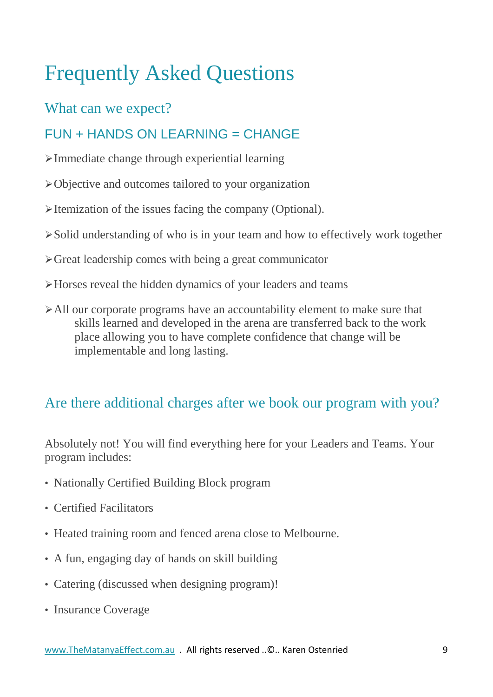## Frequently Asked Questions

## What can we expect?

## $FUN + HANDS ON$  I FARNING = CHANGF

- Immediate change through experiential learning
- Objective and outcomes tailored to your organization
- $\blacktriangleright$  Itemization of the issues facing the company (Optional).
- Solid understanding of who is in your team and how to effectively work together
- $\triangleright$  Great leadership comes with being a great communicator
- Horses reveal the hidden dynamics of your leaders and teams
- All our corporate programs have an accountability element to make sure that skills learned and developed in the arena are transferred back to the work place allowing you to have complete confidence that change will be implementable and long lasting.

## Are there additional charges after we book our program with you?

Absolutely not! You will find everything here for your Leaders and Teams. Your program includes:

- Nationally Certified Building Block program
- Certified Facilitators
- Heated training room and fenced arena close to Melbourne.
- A fun, engaging day of hands on skill building
- Catering (discussed when designing program)!
- Insurance Coverage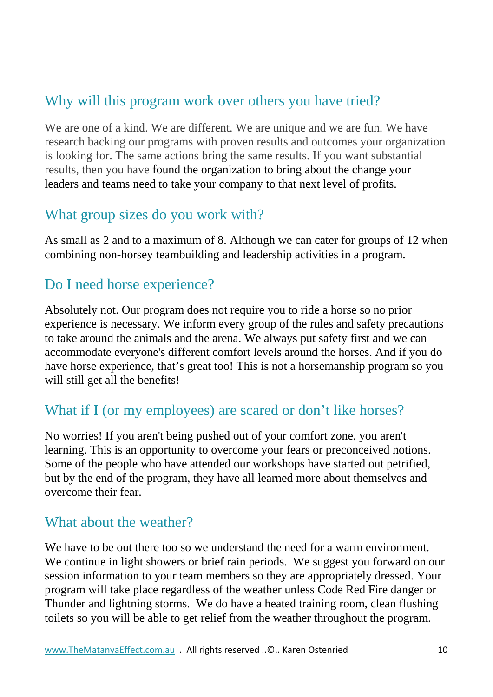## Why will this program work over others you have tried?

We are one of a kind. We are different. We are unique and we are fun. We have research backing our programs with proven results and outcomes your organization is looking for. The same actions bring the same results. If you want substantial results, then you have found the organization to bring about the change your leaders and teams need to take your company to that next level of profits.

### What group sizes do you work with?

As small as 2 and to a maximum of 8. Although we can cater for groups of 12 when combining non-horsey teambuilding and leadership activities in a program.

## Do I need horse experience?

Absolutely not. Our program does not require you to ride a horse so no prior experience is necessary. We inform every group of the rules and safety precautions to take around the animals and the arena. We always put safety first and we can accommodate everyone's different comfort levels around the horses. And if you do have horse experience, that's great too! This is not a horsemanship program so you will still get all the benefits!

## What if I (or my employees) are scared or don't like horses?

No worries! If you aren't being pushed out of your comfort zone, you aren't learning. This is an opportunity to overcome your fears or preconceived notions. Some of the people who have attended our workshops have started out petrified, but by the end of the program, they have all learned more about themselves and overcome their fear.

### What about the weather?

We have to be out there too so we understand the need for a warm environment. We continue in light showers or brief rain periods. We suggest you forward on our session information to your team members so they are appropriately dressed. Your program will take place regardless of the weather unless Code Red Fire danger or Thunder and lightning storms. We do have a heated training room, clean flushing toilets so you will be able to get relief from the weather throughout the program.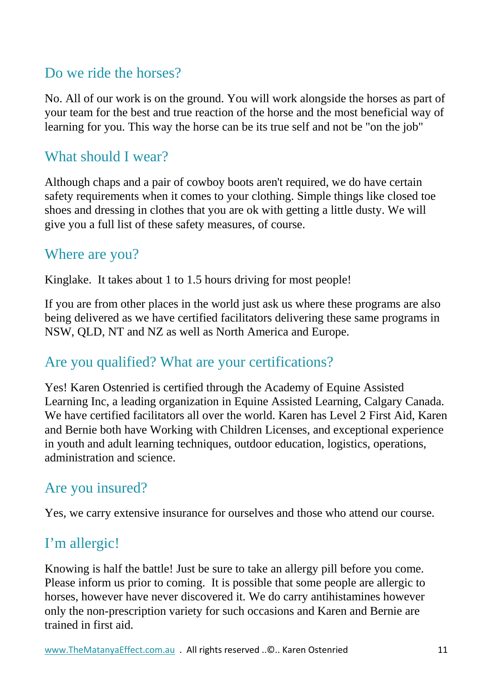## Do we ride the horses?

No. All of our work is on the ground. You will work alongside the horses as part of your team for the best and true reaction of the horse and the most beneficial way of learning for you. This way the horse can be its true self and not be "on the job"

### What should I wear?

Although chaps and a pair of cowboy boots aren't required, we do have certain safety requirements when it comes to your clothing. Simple things like closed toe shoes and dressing in clothes that you are ok with getting a little dusty. We will give you a full list of these safety measures, of course.

#### Where are you?

Kinglake. It takes about 1 to 1.5 hours driving for most people!

If you are from other places in the world just ask us where these programs are also being delivered as we have certified facilitators delivering these same programs in NSW, QLD, NT and NZ as well as North America and Europe.

### Are you qualified? What are your certifications?

Yes! Karen Ostenried is certified through the Academy of Equine Assisted Learning Inc, a leading organization in Equine Assisted Learning, Calgary Canada. We have certified facilitators all over the world. Karen has Level 2 First Aid, Karen and Bernie both have Working with Children Licenses, and exceptional experience in youth and adult learning techniques, outdoor education, logistics, operations, administration and science.

## Are you insured?

Yes, we carry extensive insurance for ourselves and those who attend our course.

## I'm allergic!

Knowing is half the battle! Just be sure to take an allergy pill before you come. Please inform us prior to coming. It is possible that some people are allergic to horses, however have never discovered it. We do carry antihistamines however only the non-prescription variety for such occasions and Karen and Bernie are trained in first aid.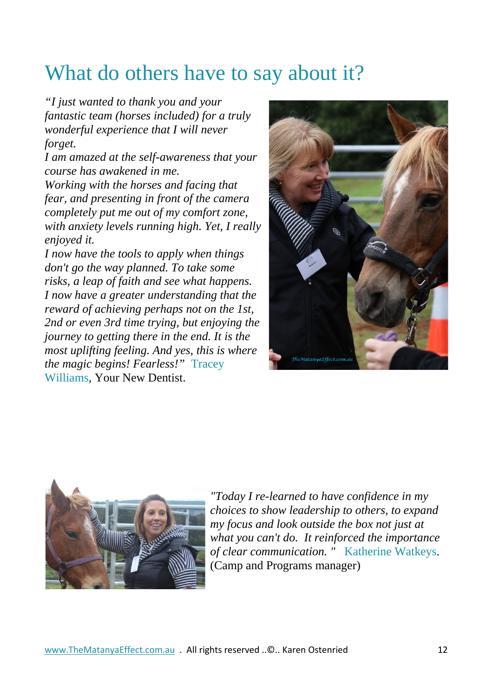## What do others have to say about it?

*"I just wanted to thank you and your fantastic team (horses included) for a truly wonderful experience that I will never forget.*

*I am amazed at the self-awareness that your course has awakened in me.*

*Working with the horses and facing that fear, and presenting in front of the camera completely put me out of my comfort zone, with anxiety levels running high. Yet, I really enjoyed it.*

*I now have the tools to apply when things don't go the way planned. To take some risks, a leap of faith and see what happens. I now have a greater understanding that the reward of achieving perhaps not on the 1st, 2nd or even 3rd time trying, but enjoying the journey to getting there in the end. It is the most uplifting feeling. And yes, this is where the magic begins! Fearless!"* Tracey Williams, Your New Dentist.





*"Today I re-learned to have confidence in my choices to show leadership to others, to expand my focus and look outside the box not just at what you can't do. It reinforced the importance of clear communication. "* Katherine Watkeys. (Camp and Programs manager)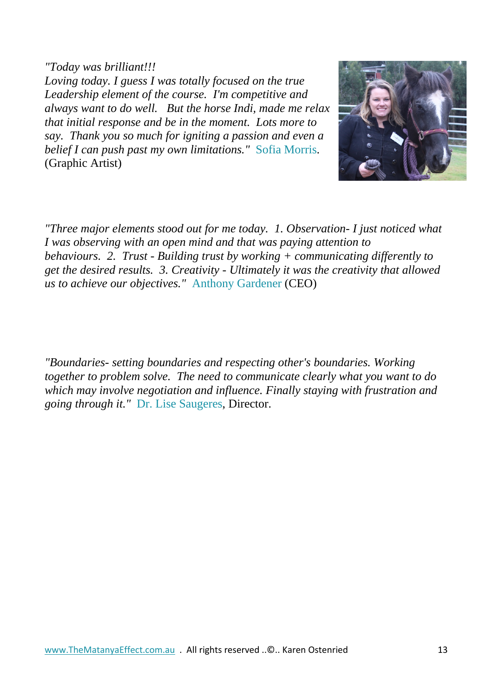*"Today was brilliant!!!*

*Loving today. I guess I was totally focused on the true Leadership element of the course. I'm competitive and always want to do well. But the horse Indi, made me relax that initial response and be in the moment. Lots more to say. Thank you so much for igniting a passion and even a belief I can push past my own limitations."* Sofia Morris. (Graphic Artist)

*"Three major elements stood out for me today. 1. Observation- I just noticed what I was observing with an open mind and that was paying attention to behaviours. 2. Trust - Building trust by working + communicating differently to get the desired results. 3. Creativity - Ultimately it was the creativity that allowed us to achieve our objectives."* Anthony Gardener (CEO)

*"Boundaries- setting boundaries and respecting other's boundaries. Working together to problem solve. The need to communicate clearly what you want to do which may involve negotiation and influence. Finally staying with frustration and going through it."* Dr. Lise Saugeres, Director.